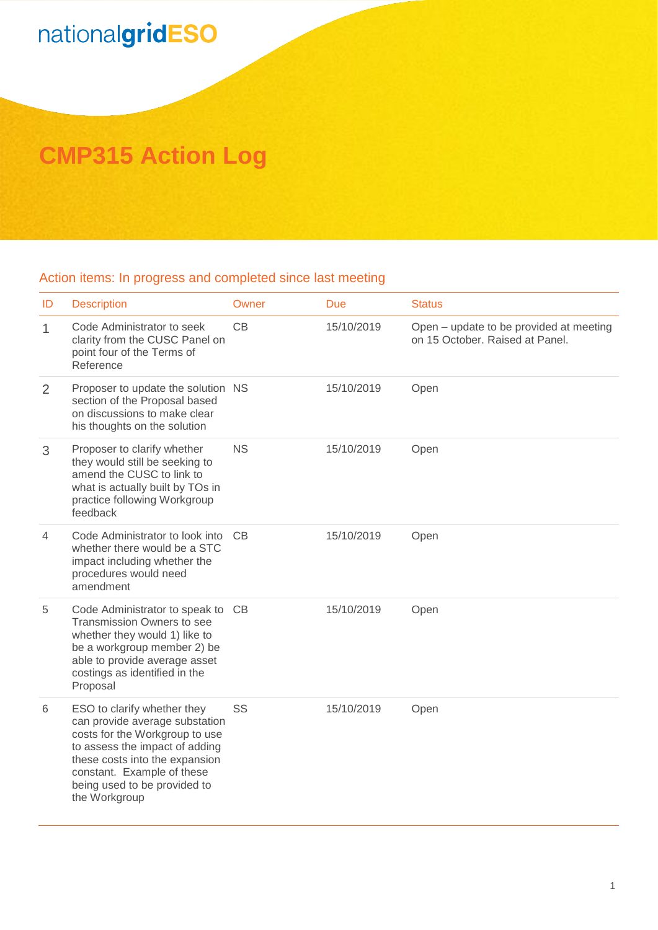## nationalgridESO

## **CMP315 Action Log**

## Action items: In progress and completed since last meeting

| ID           | <b>Description</b>                                                                                                                                                                                                                                 | Owner     | <b>Due</b> | <b>Status</b>                                                              |
|--------------|----------------------------------------------------------------------------------------------------------------------------------------------------------------------------------------------------------------------------------------------------|-----------|------------|----------------------------------------------------------------------------|
| $\mathbf{1}$ | Code Administrator to seek<br>clarity from the CUSC Panel on<br>point four of the Terms of<br>Reference                                                                                                                                            | CB        | 15/10/2019 | Open - update to be provided at meeting<br>on 15 October, Raised at Panel. |
| 2            | Proposer to update the solution NS<br>section of the Proposal based<br>on discussions to make clear<br>his thoughts on the solution                                                                                                                |           | 15/10/2019 | Open                                                                       |
| 3            | Proposer to clarify whether<br>they would still be seeking to<br>amend the CUSC to link to<br>what is actually built by TOs in<br>practice following Workgroup<br>feedback                                                                         | <b>NS</b> | 15/10/2019 | Open                                                                       |
| 4            | Code Administrator to look into<br>whether there would be a STC<br>impact including whether the<br>procedures would need<br>amendment                                                                                                              | <b>CB</b> | 15/10/2019 | Open                                                                       |
| 5            | Code Administrator to speak to CB<br>Transmission Owners to see<br>whether they would 1) like to<br>be a workgroup member 2) be<br>able to provide average asset<br>costings as identified in the<br>Proposal                                      |           | 15/10/2019 | Open                                                                       |
| 6            | ESO to clarify whether they<br>can provide average substation<br>costs for the Workgroup to use<br>to assess the impact of adding<br>these costs into the expansion<br>constant. Example of these<br>being used to be provided to<br>the Workgroup | SS        | 15/10/2019 | Open                                                                       |